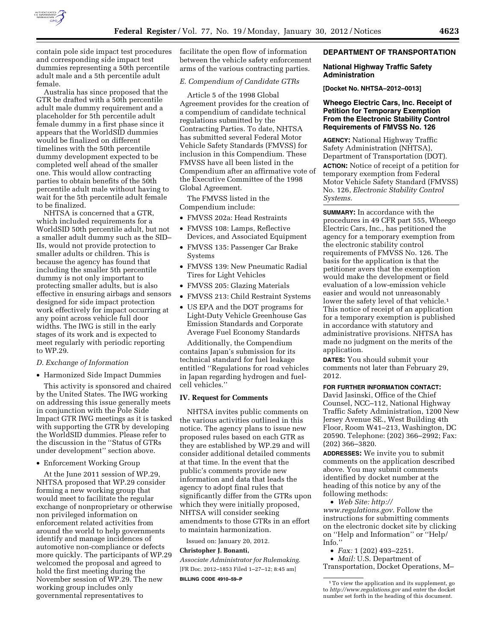

contain pole side impact test procedures and corresponding side impact test dummies representing a 50th percentile adult male and a 5th percentile adult female.

Australia has since proposed that the GTR be drafted with a 50th percentile adult male dummy requirement and a placeholder for 5th percentile adult female dummy in a first phase since it appears that the WorldSID dummies would be finalized on different timelines with the 50th percentile dummy development expected to be completed well ahead of the smaller one. This would allow contracting parties to obtain benefits of the 50th percentile adult male without having to wait for the 5th percentile adult female to be finalized.

NHTSA is concerned that a GTR, which included requirements for a WorldSID 50th percentile adult, but not a smaller adult dummy such as the SID– IIs, would not provide protection to smaller adults or children. This is because the agency has found that including the smaller 5th percentile dummy is not only important to protecting smaller adults, but is also effective in ensuring airbags and sensors designed for side impact protection work effectively for impact occurring at any point across vehicle full door widths. The IWG is still in the early stages of its work and is expected to meet regularly with periodic reporting to WP.29.

# *D. Exchange of Information*

• Harmonized Side Impact Dummies

This activity is sponsored and chaired by the United States. The IWG working on addressing this issue generally meets in conjunction with the Pole Side Impact GTR IWG meetings as it is tasked with supporting the GTR by developing the WorldSID dummies. Please refer to the discussion in the ''Status of GTRs under development'' section above.

• Enforcement Working Group

At the June 2011 session of WP.29, NHTSA proposed that WP.29 consider forming a new working group that would meet to facilitate the regular exchange of nonproprietary or otherwise non privileged information on enforcement related activities from around the world to help governments identify and manage incidences of automotive non-compliance or defects more quickly. The participants of WP.29 welcomed the proposal and agreed to hold the first meeting during the November session of WP.29. The new working group includes only governmental representatives to

facilitate the open flow of information between the vehicle safety enforcement arms of the various contracting parties.

### *E. Compendium of Candidate GTRs*

Article 5 of the 1998 Global Agreement provides for the creation of a compendium of candidate technical regulations submitted by the Contracting Parties. To date, NHTSA has submitted several Federal Motor Vehicle Safety Standards (FMVSS) for inclusion in this Compendium. These FMVSS have all been listed in the Compendium after an affirmative vote of the Executive Committee of the 1998 Global Agreement.

The FMVSS listed in the Compendium include:

- FMVSS 202a: Head Restraints
- FMVSS 108: Lamps, Reflective Devices, and Associated Equipment
- FMVSS 135: Passenger Car Brake Systems
- FMVSS 139: New Pneumatic Radial Tires for Light Vehicles
- FMVSS 205: Glazing Materials
- FMVSS 213: Child Restraint Systems
- US EPA and the DOT programs for Light-Duty Vehicle Greenhouse Gas Emission Standards and Corporate Average Fuel Economy Standards

Additionally, the Compendium contains Japan's submission for its technical standard for fuel leakage entitled ''Regulations for road vehicles in Japan regarding hydrogen and fuelcell vehicles.''

#### **IV. Request for Comments**

NHTSA invites public comments on the various activities outlined in this notice. The agency plans to issue new proposed rules based on each GTR as they are established by WP.29 and will consider additional detailed comments at that time. In the event that the public's comments provide new information and data that leads the agency to adopt final rules that significantly differ from the GTRs upon which they were initially proposed, NHTSA will consider seeking amendments to those GTRs in an effort to maintain harmonization.

Issued on: January 20, 2012.

# **Christopher J. Bonanti,**

*Associate Administrator for Rulemaking.*  [FR Doc. 2012–1853 Filed 1–27–12; 8:45 am] **BILLING CODE 4910–59–P** 

## **DEPARTMENT OF TRANSPORTATION**

## **National Highway Traffic Safety Administration**

**[Docket No. NHTSA–2012–0013]** 

# **Wheego Electric Cars, Inc. Receipt of Petition for Temporary Exemption From the Electronic Stability Control Requirements of FMVSS No. 126**

**AGENCY:** National Highway Traffic Safety Administration (NHTSA), Department of Transportation (DOT).

**ACTION:** Notice of receipt of a petition for temporary exemption from Federal Motor Vehicle Safety Standard (FMVSS) No. 126, *Electronic Stability Control Systems.* 

**SUMMARY:** In accordance with the procedures in 49 CFR part 555, Wheego Electric Cars, Inc., has petitioned the agency for a temporary exemption from the electronic stability control requirements of FMVSS No. 126. The basis for the application is that the petitioner avers that the exemption would make the development or field evaluation of a low-emission vehicle easier and would not unreasonably lower the safety level of that vehicle.<sup>1</sup> This notice of receipt of an application for a temporary exemption is published in accordance with statutory and administrative provisions. NHTSA has made no judgment on the merits of the application.

**DATES:** You should submit your comments not later than February 29, 2012.

# **FOR FURTHER INFORMATION CONTACT:**

David Jasinski, Office of the Chief Counsel, NCC–112, National Highway Traffic Safety Administration, 1200 New Jersey Avenue SE., West Building 4th Floor, Room W41–213, Washington, DC 20590. Telephone: (202) 366–2992; Fax: (202) 366–3820.

**ADDRESSES:** We invite you to submit comments on the application described above. You may submit comments identified by docket number at the heading of this notice by any of the following methods:

• *Web Site: [http://](http://www.regulations.gov)* 

*[www.regulations.gov](http://www.regulations.gov)*. Follow the instructions for submitting comments on the electronic docket site by clicking on ''Help and Information'' or ''Help/ Info.''

- *Fax:* 1 (202) 493–2251.
- *Mail:* U.S. Department of Transportation, Docket Operations, M–

<sup>1</sup>To view the application and its supplement, go to *<http://www.regulations.gov>*and enter the docket number set forth in the heading of this document.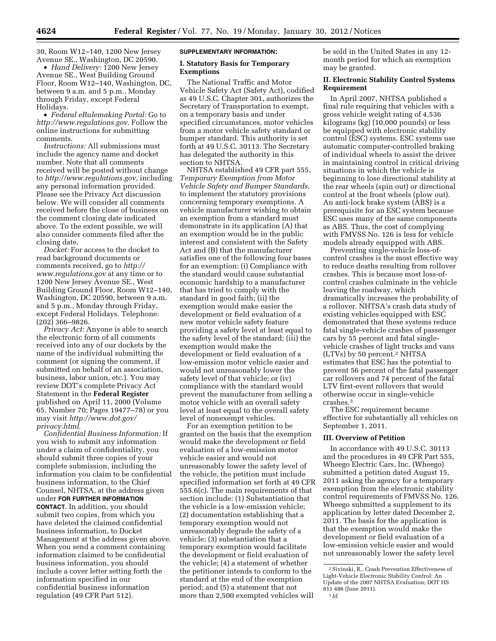30, Room W12–140, 1200 New Jersey Avenue SE., Washington, DC 20590.

• *Hand Delivery:* 1200 New Jersey Avenue SE., West Building Ground Floor, Room W12–140, Washington, DC, between 9 a.m. and 5 p.m., Monday through Friday, except Federal Holidays.

• *Federal eRulemaking Portal:* Go to *[http://www.regulations.gov.](http://www.regulations.gov)* Follow the online instructions for submitting comments.

*Instructions:* All submissions must include the agency name and docket number. Note that all comments received will be posted without change to *[http://www.regulations.gov,](http://www.regulations.gov)* including any personal information provided. Please see the Privacy Act discussion below. We will consider all comments received before the close of business on the comment closing date indicated above. To the extent possible, we will also consider comments filed after the closing date.

*Docket:* For access to the docket to read background documents or comments received, go to *[http://](http://www.regulations.gov)  [www.regulations.gov](http://www.regulations.gov)* at any time or to 1200 New Jersey Avenue SE., West Building Ground Floor, Room W12–140, Washington, DC 20590, between 9 a.m. and 5 p.m., Monday through Friday, except Federal Holidays. Telephone: (202) 366–9826.

*Privacy Act:* Anyone is able to search the electronic form of all comments received into any of our dockets by the name of the individual submitting the comment (or signing the comment, if submitted on behalf of an association, business, labor union, etc.). You may review DOT's complete Privacy Act Statement in the **Federal Register**  published on April 11, 2000 (Volume 65, Number 70; Pages 19477–78) or you may visit *[http://www.dot.gov/](http://www.dot.gov/privacy.html)  [privacy.html](http://www.dot.gov/privacy.html)*.

*Confidential Business Information:* If you wish to submit any information under a claim of confidentiality, you should submit three copies of your complete submission, including the information you claim to be confidential business information, to the Chief Counsel, NHTSA, at the address given under **FOR FURTHER INFORMATION CONTACT**. In addition, you should submit two copies, from which you have deleted the claimed confidential business information, to Docket Management at the address given above. When you send a comment containing information claimed to be confidential business information, you should include a cover letter setting forth the information specified in our confidential business information regulation (49 CFR Part 512).

#### **SUPPLEMENTARY INFORMATION:**

## **I. Statutory Basis for Temporary Exemptions**

The National Traffic and Motor Vehicle Safety Act (Safety Act), codified as 49 U.S.C. Chapter 301, authorizes the Secretary of Transportation to exempt, on a temporary basis and under specified circumstances, motor vehicles from a motor vehicle safety standard or bumper standard. This authority is set forth at 49 U.S.C. 30113. The Secretary has delegated the authority in this section to NHTSA.

NHTSA established 49 CFR part 555, *Temporary Exemption from Motor Vehicle Safety and Bumper Standards,*  to implement the statutory provisions concerning temporary exemptions. A vehicle manufacturer wishing to obtain an exemption from a standard must demonstrate in its application (A) that an exemption would be in the public interest and consistent with the Safety Act and (B) that the manufacturer satisfies one of the following four bases for an exemption: (i) Compliance with the standard would cause substantial economic hardship to a manufacturer that has tried to comply with the standard in good faith; (ii) the exemption would make easier the development or field evaluation of a new motor vehicle safety feature providing a safety level at least equal to the safety level of the standard; (iii) the exemption would make the development or field evaluation of a low-emission motor vehicle easier and would not unreasonably lower the safety level of that vehicle; or (iv) compliance with the standard would prevent the manufacturer from selling a motor vehicle with an overall safety level at least equal to the overall safety level of nonexempt vehicles.

For an exemption petition to be granted on the basis that the exemption would make the development or field evaluation of a low-emission motor vehicle easier and would not unreasonably lower the safety level of the vehicle, the petition must include specified information set forth at 49 CFR 555.6(c). The main requirements of that section include: (1) Substantiation that the vehicle is a low-emission vehicle; (2) documentation establishing that a temporary exemption would not unreasonably degrade the safety of a vehicle; (3) substantiation that a temporary exemption would facilitate the development or field evaluation of the vehicle; (4) a statement of whether the petitioner intends to conform to the standard at the end of the exemption period; and (5) a statement that not more than 2,500 exempted vehicles will

be sold in the United States in any 12 month period for which an exemption may be granted.

# **II. Electronic Stability Control Systems Requirement**

In April 2007, NHTSA published a final rule requiring that vehicles with a gross vehicle weight rating of 4,536 kilograms (kg) (10,000 pounds) or less be equipped with electronic stability control (ESC) systems. ESC systems use automatic computer-controlled braking of individual wheels to assist the driver in maintaining control in critical driving situations in which the vehicle is beginning to lose directional stability at the rear wheels (spin out) or directional control at the front wheels (plow out). An anti-lock brake system (ABS) is a prerequisite for an ESC system because ESC uses many of the same components as ABS. Thus, the cost of complying with FMVSS No. 126 is less for vehicle models already equipped with ABS.

Preventing single-vehicle loss-ofcontrol crashes is the most effective way to reduce deaths resulting from rollover crashes. This is because most loss-ofcontrol crashes culminate in the vehicle leaving the roadway, which dramatically increases the probability of a rollover. NHTSA's crash data study of existing vehicles equipped with ESC demonstrated that these systems reduce fatal single-vehicle crashes of passenger cars by 55 percent and fatal singlevehicle crashes of light trucks and vans (LTVs) by 50 percent.2 NHTSA estimates that ESC has the potential to prevent 56 percent of the fatal passenger car rollovers and 74 percent of the fatal LTV first-event rollovers that would otherwise occur in single-vehicle crashes.3

The ESC requirement became effective for substantially all vehicles on September 1, 2011.

## **III. Overview of Petition**

In accordance with 49 U.S.C. 30113 and the procedures in 49 CFR Part 555, Wheego Electric Cars, Inc. (Wheego) submitted a petition dated August 15, 2011 asking the agency for a temporary exemption from the electronic stability control requirements of FMVSS No. 126. Wheego submitted a supplement to its application by letter dated December 2, 2011. The basis for the application is that the exemption would make the development or field evaluation of a low-emission vehicle easier and would not unreasonably lower the safety level

<sup>2</sup>Sivinski, R., Crash Prevention Effectiveness of Light-Vehicle Electronic Stability Control: An Update of the 2007 NHTSA Evaluation; DOT HS 811 486 (June 2011).